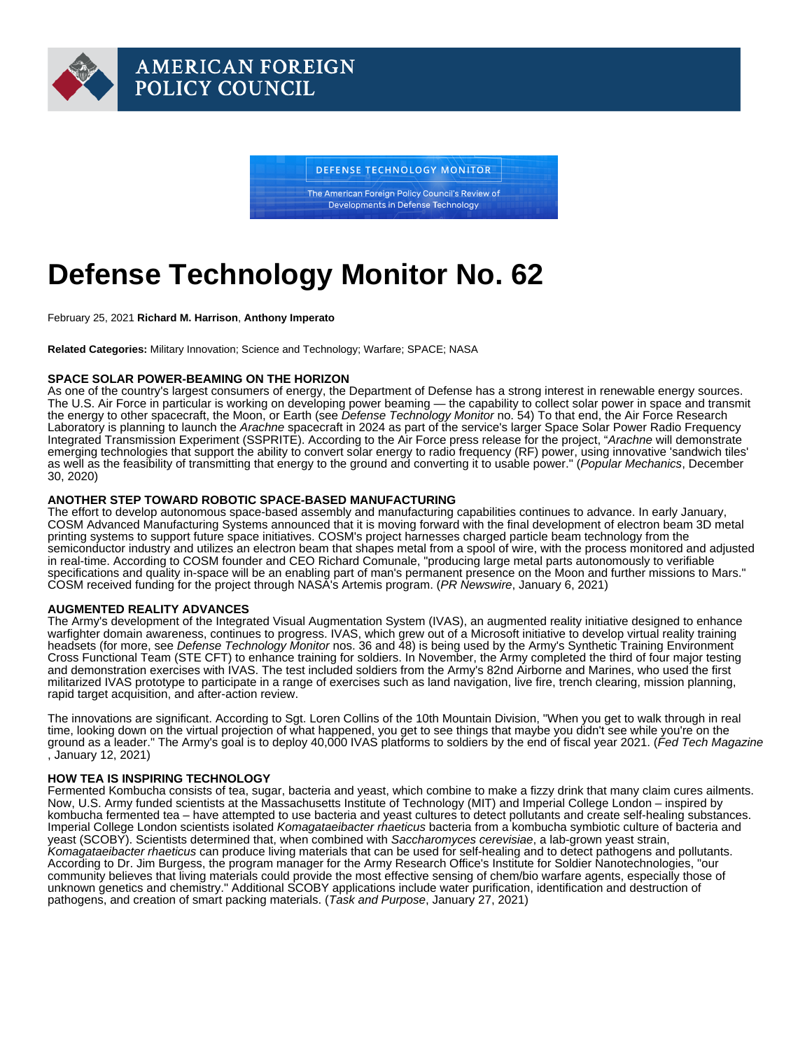# Defense Technology Monitor No. 62

February 25, 2021 Richard M. Harrison , Anthony Imperato

Related Categories: Military Innovation; Science and Technology; Warfare; SPACE; NASA

### SPACE SOLAR POWER-BEAMING ON THE HORIZON

As one of the country's largest consumers of energy, the Department of Defense has a strong interest in renewable energy sources. The U.S. Air Force in particular is working on developing power beaming — the capability to collect solar power in space and transmit the energy to other spacecraft, the Moon, or Earth (see [Defense Technology Monitor](https://www.afpc.org/publications/bulletins/defense-technology-monitor/defense-technology-monitor-no-54) no. 54) To that end, the Air Force Research Laboratory is planning to launch the Arachne spacecraft in 2024 as part of the service's larger Space Solar Power Radio Frequency Integrated Transmission Experiment (SSPRITE). According to the Air Force press release for the project, "Arachne will demonstrate emerging technologies that support the ability to convert solar energy to radio frequency (RF) power, using innovative 'sandwich tiles' as well as the feasibility of transmitting that energy to the ground and converting it to usable power." ([Popular Mechanics](https://www-popularmechanics-com.cdn.ampproject.org/c/s/www.popularmechanics.com/science/energy/amp35092898/air-force-solar-power-beaming-spacecraft/), December 30, 2020)

## ANOTHER STEP TOWARD ROBOTIC SPACE-BASED MANUFACTURING

The effort to develop autonomous space-based assembly and manufacturing capabilities continues to advance. In early January, COSM Advanced Manufacturing Systems announced that it is moving forward with the final development of electron beam 3D metal printing systems to support future space initiatives. COSM's project harnesses charged particle beam technology from the semiconductor industry and utilizes an electron beam that shapes metal from a spool of wire, with the process monitored and adjusted in real-time. According to COSM founder and CEO Richard Comunale, "producing large metal parts autonomously to verifiable specifications and quality in-space will be an enabling part of man's permanent presence on the Moon and further missions to Mars." COSM received funding for the project through NASA's Artemis program. [\(PR Newswire](https://www.prnewswire.com/news-releases/autonomous-in-space-assembly-and-manufacturing-moves-closer-to-reality-301201966.html), January 6, 2021)

### AUGMENTED REALITY ADVANCES

The Army's development of the Integrated Visual Augmentation System (IVAS), an augmented reality initiative designed to enhance warfighter domain awareness, continues to progress. IVAS, which grew out of a Microsoft initiative to develop virtual reality training headsets (for more, see Defense Technology Monitor nos. [36](https://www.afpc.org/publications/bulletins/defense-technology-monitor/defense-technology-monitor-no.-36) and [48\)](https://www.afpc.org/publications/bulletins/defense-technology-monitor/defense-technology-monitor-no.-48) is being used by the Army's Synthetic Training Environment Cross Functional Team (STE CFT) to enhance training for soldiers. In November, the Army completed the third of four major testing and demonstration exercises with IVAS. The test included soldiers from the Army's 82nd Airborne and Marines, who used the first militarized IVAS prototype to participate in a range of exercises such as land navigation, live fire, trench clearing, mission planning, rapid target acquisition, and after-action review.

The innovations are significant. According to Sgt. Loren Collins of the 10th Mountain Division, "When you get to walk through in real time, looking down on the virtual projection of what happened, you get to see things that maybe you didn't see while you're on the ground as a leader." The Army's goal is to deploy 40,000 IVAS platforms to soldiers by the end of fiscal year 2021. [\(Fed Tech Magazine](https://fedtechmagazine.com/article/2021/01/army-uses-ar-make-training-more-dynamic) , January 12, 2021)

### HOW TEA IS INSPIRING TECHNOLOGY

Fermented Kombucha consists of tea, sugar, bacteria and yeast, which combine to make a fizzy drink that many claim cures ailments. Now, U.S. Army funded scientists at the Massachusetts Institute of Technology (MIT) and Imperial College London – inspired by kombucha fermented tea – have attempted to use bacteria and yeast cultures to detect pollutants and create self-healing substances. Imperial College London scientists isolated Komagataeibacter rhaeticus bacteria from a kombucha symbiotic culture of bacteria and yeast (SCOBY). Scientists determined that, when combined with Saccharomyces cerevisiae, a lab-grown yeast strain, Komagataeibacter rhaeticus can produce living materials that can be used for self-healing and to detect pathogens and pollutants. According to Dr. Jim Burgess, the program manager for the Army Research Office's Institute for Soldier Nanotechnologies, "our community believes that living materials could provide the most effective sensing of chem/bio warfare agents, especially those of unknown genetics and chemistry." Additional SCOBY applications include water purification, identification and destruction of pathogens, and creation of smart packing materials. [\(Task and Purpose](https://taskandpurpose.com/military-tech/kombucha-tea-army-chemical-attack/), January 27, 2021)